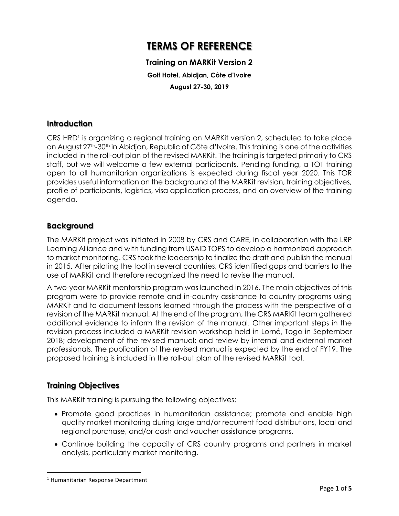# **TERMS OF REFERENCE**

## **Training on MARKit Version 2 Golf Hotel, Abidjan, Côte d'Ivoire August 27-30, 2019**

#### **Introduction**

CRS HRD<sup>1</sup> is organizing a regional training on MARKit version 2, scheduled to take place on August 27<sup>th</sup>-30<sup>th</sup> in Abidjan, Republic of Côte d'Ivoire. This training is one of the activities included in the roll-out plan of the revised MARKit. The training is targeted primarily to CRS staff, but we will welcome a few external participants. Pending funding, a TOT training open to all humanitarian organizations is expected during fiscal year 2020. This TOR provides useful information on the background of the MARKit revision, training objectives, profile of participants, logistics, visa application process, and an overview of the training agenda.

#### **Background**

The MARKit project was initiated in 2008 by CRS and CARE, in collaboration with the LRP Learning Alliance and with funding from USAID TOPS to develop a harmonized approach to market monitoring. CRS took the leadership to finalize the draft and publish the manual in 2015. After piloting the tool in several countries, CRS identified gaps and barriers to the use of MARKit and therefore recognized the need to revise the manual.

A two-year MARKit mentorship program was launched in 2016. The main objectives of this program were to provide remote and in-country assistance to country programs using MARKit and to document lessons learned through the process with the perspective of a revision of the MARKit manual. At the end of the program, the CRS MARKit team gathered additional evidence to inform the revision of the manual. Other important steps in the revision process included a MARKit revision workshop held in Lomé, Togo in September 2018; development of the revised manual; and review by internal and external market professionals, The publication of the revised manual is expected by the end of FY19. The proposed training is included in the roll-out plan of the revised MARKit tool.

#### **Training Objectives**

This MARKit training is pursuing the following objectives:

- Promote good practices in humanitarian assistance; promote and enable high quality market monitoring during large and/or recurrent food distributions, local and regional purchase, and/or cash and voucher assistance programs.
- Continue building the capacity of CRS country programs and partners in market analysis, particularly market monitoring.

 $\overline{a}$ 

<sup>1</sup> Humanitarian Response Department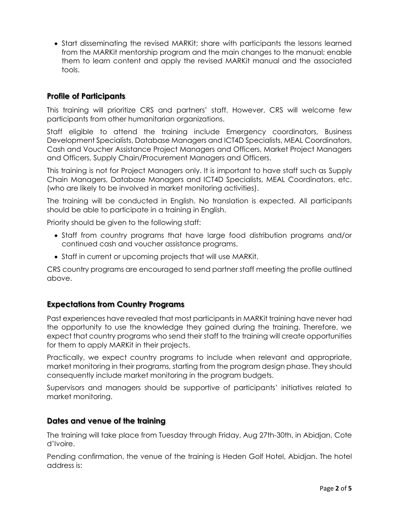• Start disseminating the revised MARKit; share with participants the lessons learned from the MARKit mentorship program and the main changes to the manual; enable them to learn content and apply the revised MARKit manual and the associated tools.

### **Profile of Participants**

This training will prioritize CRS and partners' staff. However, CRS will welcome few participants from other humanitarian organizations.

Staff eligible to attend the training include Emergency coordinators, Business Development Specialists, Database Managers and ICT4D Specialists, MEAL Coordinators, Cash and Voucher Assistance Project Managers and Officers, Market Project Managers and Officers, Supply Chain/Procurement Managers and Officers.

This training is not for Project Managers only. It is important to have staff such as Supply Chain Managers, Database Managers and ICT4D Specialists, MEAL Coordinators, etc. (who are likely to be involved in market monitoring activities).

The training will be conducted in English. No translation is expected. All participants should be able to participate in a training in English.

Priority should be given to the following staff:

- Staff from country programs that have large food distribution programs and/or continued cash and voucher assistance programs.
- Staff in current or upcoming projects that will use MARKit.

CRS country programs are encouraged to send partner staff meeting the profile outlined above.

#### **Expectations from Country Programs**

Past experiences have revealed that most participants in MARKit training have never had the opportunity to use the knowledge they gained during the training. Therefore, we expect that country programs who send their staff to the training will create opportunities for them to apply MARKit in their projects.

Practically, we expect country programs to include when relevant and appropriate, market monitoring in their programs, starting from the program design phase. They should consequently include market monitoring in the program budgets.

Supervisors and managers should be supportive of participants' initiatives related to market monitoring.

#### **Dates and venue of the training**

The training will take place from Tuesday through Friday, Aug 27th-30th, in Abidjan, Cote d'Ivoire.

Pending confirmation, the venue of the training is Heden Golf Hotel, Abidjan. The hotel address is: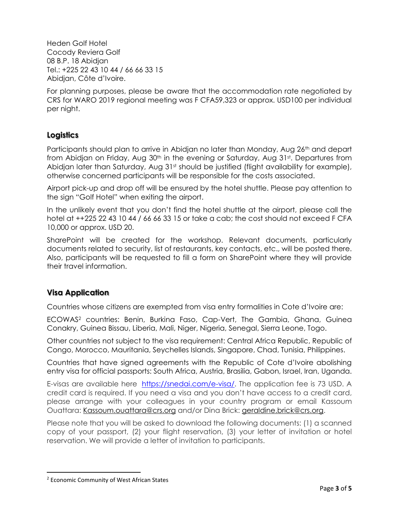Heden Golf Hotel Cocody Reviera Golf 08 B.P. 18 Abidjan Tel.: +225 22 43 10 44 / 66 66 33 15 Abidjan, Côte d'Ivoire.

For planning purposes, please be aware that the accommodation rate negotiated by CRS for WARO 2019 regional meeting was F CFA59,323 or approx. USD100 per individual per night.

## **Logistics**

Participants should plan to arrive in Abidjan no later than Monday, Aug 26<sup>th</sup> and depart from Abidjan on Friday, Aug 30<sup>th</sup> in the evening or Saturday, Aug 31st. Departures from Abidjan later than Saturday, Aug 31<sup>st</sup> should be justified (flight availability for example), otherwise concerned participants will be responsible for the costs associated.

Airport pick-up and drop off will be ensured by the hotel shuttle. Please pay attention to the sign "Golf Hotel" when exiting the airport.

In the unlikely event that you don't find the hotel shuttle at the airport, please call the hotel at ++225 22 43 10 44 / 66 66 33 15 or take a cab; the cost should not exceed F CFA 10,000 or approx. USD 20.

SharePoint will be created for the workshop. Relevant documents, particularly documents related to security, list of restaurants, key contacts, etc., will be posted there. Also, participants will be requested to fill a form on SharePoint where they will provide their travel information.

## **Visa Application**

Countries whose citizens are exempted from visa entry formalities in Cote d'Ivoire are:

ECOWAS<sup>2</sup> countries: Benin, Burkina Faso, Cap-Vert, The Gambia, Ghana, Guinea Conakry, Guinea Bissau, Liberia, Mali, Niger, Nigeria, Senegal, Sierra Leone, Togo.

Other countries not subject to the visa requirement: Central Africa Republic, Republic of Congo, Morocco, Mauritania, Seychelles Islands, Singapore, Chad, Tunisia, Philippines.

Countries that have signed agreements with the Republic of Cote d'Ivoire abolishing entry visa for official passports: South Africa, Austria, Brasilia, Gabon, Israel, Iran, Uganda.

E-visas are available here [https://snedai.com/e-visa/.](https://snedai.com/e-visa/) The application fee is 73 USD. A credit card is required. If you need a visa and you don't have access to a credit card, please arrange with your colleagues in your country program or email Kassoum Ouattara: [Kassoum.ouattara@crs.org](mailto:Kassoum.ouattara@crs.org) and/or Dina Brick: [geraldine.brick@crs.org.](mailto:geraldine.brick@crs.org)

Please note that you will be asked to download the following documents: (1) a scanned copy of your passport, (2) your flight reservation, (3) your letter of invitation or hotel reservation. We will provide a letter of invitation to participants.

 $\overline{a}$ 

<sup>&</sup>lt;sup>2</sup> Economic Community of West African States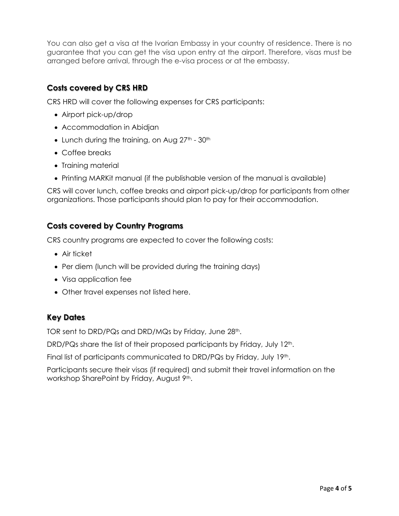You can also get a visa at the Ivorian Embassy in your country of residence. There is no guarantee that you can get the visa upon entry at the airport. Therefore, visas must be arranged before arrival, through the e-visa process or at the embassy.

## **Costs covered by CRS HRD**

CRS HRD will cover the following expenses for CRS participants:

- Airport pick-up/drop
- Accommodation in Abidjan
- Lunch during the training, on Aug  $27<sup>th</sup>$   $30<sup>th</sup>$
- Coffee breaks
- Training material
- Printing MARKit manual (if the publishable version of the manual is available)

CRS will cover lunch, coffee breaks and airport pick-up/drop for participants from other organizations. Those participants should plan to pay for their accommodation.

## **Costs covered by Country Programs**

CRS country programs are expected to cover the following costs:

- Air ticket
- Per diem (lunch will be provided during the training days)
- Visa application fee
- Other travel expenses not listed here.

## **Key Dates**

TOR sent to DRD/PQs and DRD/MQs by Friday, June 28<sup>th</sup>.

DRD/PQs share the list of their proposed participants by Friday, July 12<sup>th</sup>.

Final list of participants communicated to DRD/PQs by Friday, July 19th.

Participants secure their visas (if required) and submit their travel information on the workshop SharePoint by Friday, August 9th.